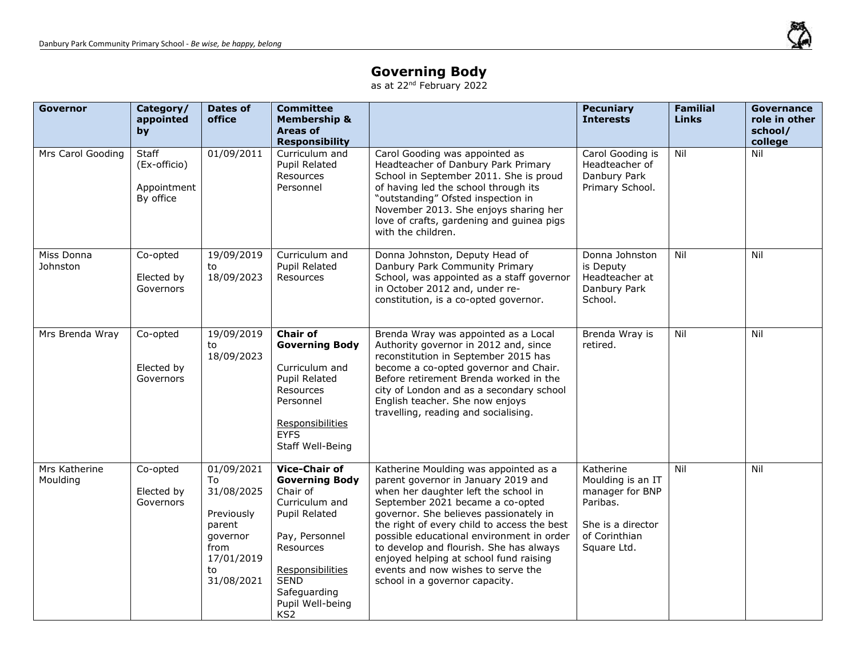

## **Governing Body**

as at 22<sup>nd</sup> February 2022

| <b>Governor</b>           | Category/<br>appointed<br>by                             | Dates of<br>office                                                                                           | <b>Committee</b><br><b>Membership &amp;</b><br>Areas of<br><b>Responsibility</b>                                                                                                                                             |                                                                                                                                                                                                                                                                                                                                                                                                                                                             | <b>Pecuniary</b><br><b>Interests</b>                                                                               | <b>Familial</b><br><b>Links</b> | <b>Governance</b><br>role in other<br>school/<br>college |
|---------------------------|----------------------------------------------------------|--------------------------------------------------------------------------------------------------------------|------------------------------------------------------------------------------------------------------------------------------------------------------------------------------------------------------------------------------|-------------------------------------------------------------------------------------------------------------------------------------------------------------------------------------------------------------------------------------------------------------------------------------------------------------------------------------------------------------------------------------------------------------------------------------------------------------|--------------------------------------------------------------------------------------------------------------------|---------------------------------|----------------------------------------------------------|
| Mrs Carol Gooding         | <b>Staff</b><br>(Ex-officio)<br>Appointment<br>By office | 01/09/2011                                                                                                   | Curriculum and<br><b>Pupil Related</b><br>Resources<br>Personnel                                                                                                                                                             | Carol Gooding was appointed as<br>Headteacher of Danbury Park Primary<br>School in September 2011. She is proud<br>of having led the school through its<br>"outstanding" Ofsted inspection in<br>November 2013. She enjoys sharing her<br>love of crafts, gardening and guinea pigs<br>with the children.                                                                                                                                                   | Carol Gooding is<br>Headteacher of<br>Danbury Park<br>Primary School.                                              | Nil                             | Nil                                                      |
| Miss Donna<br>Johnston    | Co-opted<br>Elected by<br>Governors                      | 19/09/2019<br>to<br>18/09/2023                                                                               | Curriculum and<br>Pupil Related<br>Resources                                                                                                                                                                                 | Donna Johnston, Deputy Head of<br>Danbury Park Community Primary<br>School, was appointed as a staff governor<br>in October 2012 and, under re-<br>constitution, is a co-opted governor.                                                                                                                                                                                                                                                                    | Donna Johnston<br>is Deputy<br>Headteacher at<br>Danbury Park<br>School.                                           | Nil                             | Nil                                                      |
| Mrs Brenda Wray           | Co-opted<br>Elected by<br>Governors                      | 19/09/2019<br>to<br>18/09/2023                                                                               | <b>Chair of</b><br><b>Governing Body</b><br>Curriculum and<br>Pupil Related<br>Resources<br>Personnel<br>Responsibilities<br><b>EYFS</b><br>Staff Well-Being                                                                 | Brenda Wray was appointed as a Local<br>Authority governor in 2012 and, since<br>reconstitution in September 2015 has<br>become a co-opted governor and Chair.<br>Before retirement Brenda worked in the<br>city of London and as a secondary school<br>English teacher. She now enjoys<br>travelling, reading and socialising.                                                                                                                             | Brenda Wray is<br>retired.                                                                                         | Nil                             | Nil                                                      |
| Mrs Katherine<br>Moulding | Co-opted<br>Elected by<br>Governors                      | 01/09/2021<br>To<br>31/08/2025<br>Previously<br>parent<br>governor<br>from<br>17/01/2019<br>to<br>31/08/2021 | <b>Vice-Chair of</b><br><b>Governing Body</b><br>Chair of<br>Curriculum and<br>Pupil Related<br>Pay, Personnel<br><b>Resources</b><br>Responsibilities<br><b>SEND</b><br>Safeguarding<br>Pupil Well-being<br>KS <sub>2</sub> | Katherine Moulding was appointed as a<br>parent governor in January 2019 and<br>when her daughter left the school in<br>September 2021 became a co-opted<br>governor. She believes passionately in<br>the right of every child to access the best<br>possible educational environment in order<br>to develop and flourish. She has always<br>enjoyed helping at school fund raising<br>events and now wishes to serve the<br>school in a governor capacity. | Katherine<br>Moulding is an IT<br>manager for BNP<br>Paribas.<br>She is a director<br>of Corinthian<br>Square Ltd. | Nil                             | Nil                                                      |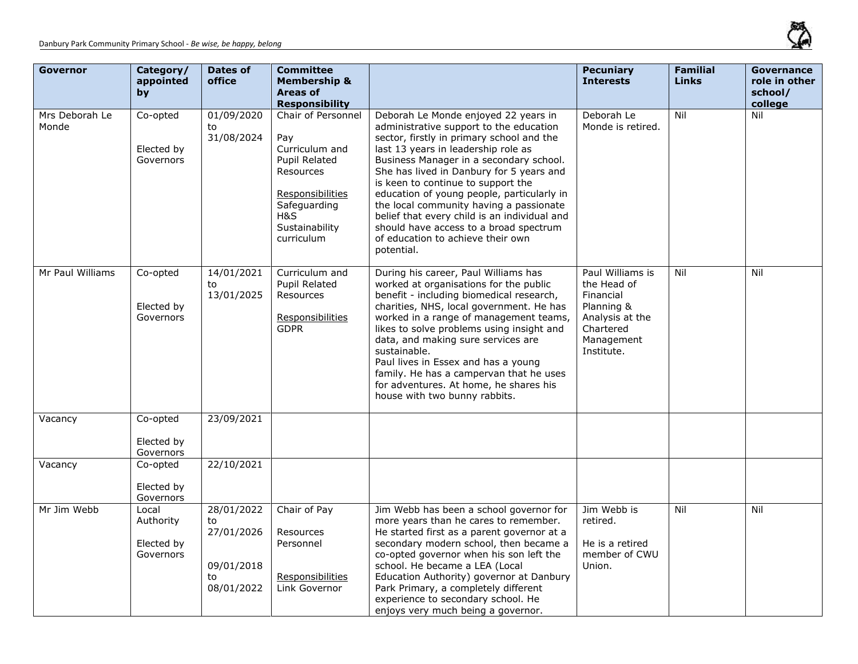

| <b>Governor</b>         | Category/<br>appointed<br>by                  | <b>Dates of</b><br>office                                        | <b>Committee</b><br><b>Membership &amp;</b><br>Areas of<br><b>Responsibility</b>                                                                            |                                                                                                                                                                                                                                                                                                                                                                                                                                                                                                                                        | <b>Pecuniary</b><br><b>Interests</b>                                                                                   | <b>Familial</b><br><b>Links</b> | <b>Governance</b><br>role in other<br>school/<br>college |
|-------------------------|-----------------------------------------------|------------------------------------------------------------------|-------------------------------------------------------------------------------------------------------------------------------------------------------------|----------------------------------------------------------------------------------------------------------------------------------------------------------------------------------------------------------------------------------------------------------------------------------------------------------------------------------------------------------------------------------------------------------------------------------------------------------------------------------------------------------------------------------------|------------------------------------------------------------------------------------------------------------------------|---------------------------------|----------------------------------------------------------|
| Mrs Deborah Le<br>Monde | Co-opted<br>Elected by<br>Governors           | 01/09/2020<br>to<br>31/08/2024                                   | Chair of Personnel<br>Pay<br>Curriculum and<br><b>Pupil Related</b><br>Resources<br>Responsibilities<br>Safeguarding<br>H&S<br>Sustainability<br>curriculum | Deborah Le Monde enjoyed 22 years in<br>administrative support to the education<br>sector, firstly in primary school and the<br>last 13 years in leadership role as<br>Business Manager in a secondary school.<br>She has lived in Danbury for 5 years and<br>is keen to continue to support the<br>education of young people, particularly in<br>the local community having a passionate<br>belief that every child is an individual and<br>should have access to a broad spectrum<br>of education to achieve their own<br>potential. | Deborah Le<br>Monde is retired.                                                                                        | Nil                             | Nil                                                      |
| Mr Paul Williams        | Co-opted<br>Elected by<br>Governors           | 14/01/2021<br>to<br>13/01/2025                                   | Curriculum and<br><b>Pupil Related</b><br>Resources<br>Responsibilities<br><b>GDPR</b>                                                                      | During his career, Paul Williams has<br>worked at organisations for the public<br>benefit - including biomedical research,<br>charities, NHS, local government. He has<br>worked in a range of management teams,<br>likes to solve problems using insight and<br>data, and making sure services are<br>sustainable.<br>Paul lives in Essex and has a young<br>family. He has a campervan that he uses<br>for adventures. At home, he shares his<br>house with two bunny rabbits.                                                       | Paul Williams is<br>the Head of<br>Financial<br>Planning &<br>Analysis at the<br>Chartered<br>Management<br>Institute. | Nil                             | Nil                                                      |
| Vacancy                 | Co-opted<br>Elected by<br>Governors           | 23/09/2021                                                       |                                                                                                                                                             |                                                                                                                                                                                                                                                                                                                                                                                                                                                                                                                                        |                                                                                                                        |                                 |                                                          |
| Vacancy                 | Co-opted<br>Elected by<br>Governors           | 22/10/2021                                                       |                                                                                                                                                             |                                                                                                                                                                                                                                                                                                                                                                                                                                                                                                                                        |                                                                                                                        |                                 |                                                          |
| Mr Jim Webb             | Local<br>Authority<br>Elected by<br>Governors | 28/01/2022<br>to<br>27/01/2026<br>09/01/2018<br>to<br>08/01/2022 | Chair of Pay<br>Resources<br>Personnel<br>Responsibilities<br>Link Governor                                                                                 | Jim Webb has been a school governor for<br>more years than he cares to remember.<br>He started first as a parent governor at a<br>secondary modern school, then became a<br>co-opted governor when his son left the<br>school. He became a LEA (Local<br>Education Authority) governor at Danbury<br>Park Primary, a completely different<br>experience to secondary school. He<br>enjoys very much being a governor.                                                                                                                  | Jim Webb is<br>retired.<br>He is a retired<br>member of CWU<br>Union.                                                  | Nil                             | Nil                                                      |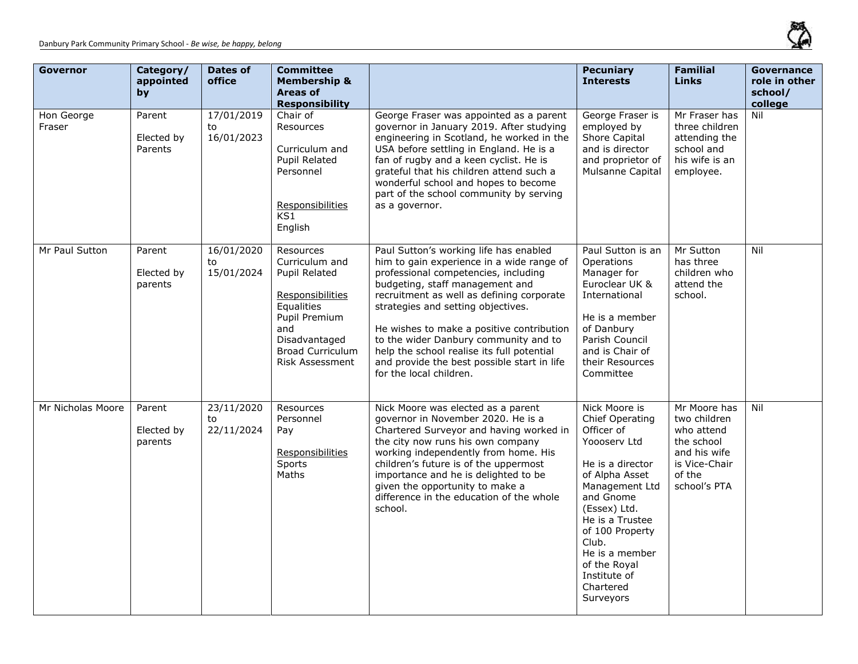

| <b>Governor</b>      | Category/<br>appointed<br>by    | Dates of<br>office             | <b>Committee</b><br><b>Membership &amp;</b><br><b>Areas of</b><br><b>Responsibility</b>                                                                                      |                                                                                                                                                                                                                                                                                                                                                                                                                                                                 | <b>Pecuniary</b><br><b>Interests</b>                                                                                                                                                                                                                                           | <b>Familial</b><br><b>Links</b>                                                                                     | <b>Governance</b><br>role in other<br>school/<br>college |
|----------------------|---------------------------------|--------------------------------|------------------------------------------------------------------------------------------------------------------------------------------------------------------------------|-----------------------------------------------------------------------------------------------------------------------------------------------------------------------------------------------------------------------------------------------------------------------------------------------------------------------------------------------------------------------------------------------------------------------------------------------------------------|--------------------------------------------------------------------------------------------------------------------------------------------------------------------------------------------------------------------------------------------------------------------------------|---------------------------------------------------------------------------------------------------------------------|----------------------------------------------------------|
| Hon George<br>Fraser | Parent<br>Elected by<br>Parents | 17/01/2019<br>to<br>16/01/2023 | Chair of<br>Resources<br>Curriculum and<br><b>Pupil Related</b><br>Personnel<br>Responsibilities<br>KS1<br>English                                                           | George Fraser was appointed as a parent<br>governor in January 2019. After studying<br>engineering in Scotland, he worked in the<br>USA before settling in England. He is a<br>fan of rugby and a keen cyclist. He is<br>grateful that his children attend such a<br>wonderful school and hopes to become<br>part of the school community by serving<br>as a governor.                                                                                          | George Fraser is<br>employed by<br>Shore Capital<br>and is director<br>and proprietor of<br>Mulsanne Capital                                                                                                                                                                   | Mr Fraser has<br>three children<br>attending the<br>school and<br>his wife is an<br>employee.                       | Nil                                                      |
| Mr Paul Sutton       | Parent<br>Elected by<br>parents | 16/01/2020<br>to<br>15/01/2024 | Resources<br>Curriculum and<br><b>Pupil Related</b><br>Responsibilities<br>Equalities<br>Pupil Premium<br>and<br>Disadvantaged<br><b>Broad Curriculum</b><br>Risk Assessment | Paul Sutton's working life has enabled<br>him to gain experience in a wide range of<br>professional competencies, including<br>budgeting, staff management and<br>recruitment as well as defining corporate<br>strategies and setting objectives.<br>He wishes to make a positive contribution<br>to the wider Danbury community and to<br>help the school realise its full potential<br>and provide the best possible start in life<br>for the local children. | Paul Sutton is an<br>Operations<br>Manager for<br>Euroclear UK &<br>International<br>He is a member<br>of Danbury<br>Parish Council<br>and is Chair of<br>their Resources<br>Committee                                                                                         | Mr Sutton<br>has three<br>children who<br>attend the<br>school.                                                     | Nil                                                      |
| Mr Nicholas Moore    | Parent<br>Elected by<br>parents | 23/11/2020<br>to<br>22/11/2024 | Resources<br>Personnel<br>Pay<br>Responsibilities<br>Sports<br>Maths                                                                                                         | Nick Moore was elected as a parent<br>governor in November 2020. He is a<br>Chartered Surveyor and having worked in<br>the city now runs his own company<br>working independently from home. His<br>children's future is of the uppermost<br>importance and he is delighted to be<br>given the opportunity to make a<br>difference in the education of the whole<br>school.                                                                                     | Nick Moore is<br>Chief Operating<br>Officer of<br>Yoooserv Ltd<br>He is a director<br>of Alpha Asset<br>Management Ltd<br>and Gnome<br>(Essex) Ltd.<br>He is a Trustee<br>of 100 Property<br>Club.<br>He is a member<br>of the Royal<br>Institute of<br>Chartered<br>Surveyors | Mr Moore has<br>two children<br>who attend<br>the school<br>and his wife<br>is Vice-Chair<br>of the<br>school's PTA | Nil                                                      |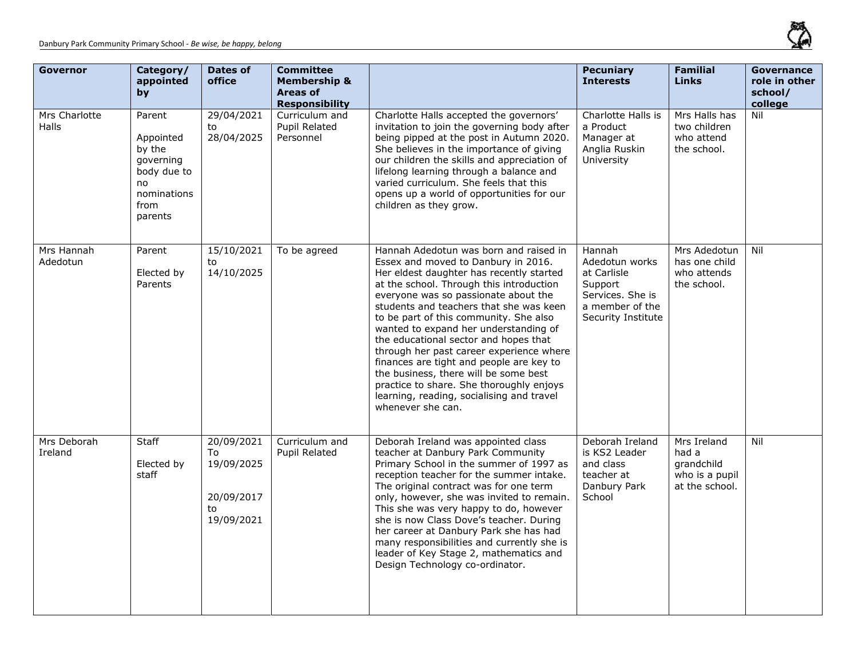

| <b>Governor</b>               | Category/<br>appointed<br>by                                                                      | <b>Dates of</b><br>office                                        | <b>Committee</b><br><b>Membership &amp;</b><br>Areas of<br><b>Responsibility</b> |                                                                                                                                                                                                                                                                                                                                                                                                                                                                                                                                                                                                                                     | <b>Pecuniary</b><br><b>Interests</b>                                                                            | <b>Familial</b><br><b>Links</b>                                        | Governance<br>role in other<br>school/<br>college |
|-------------------------------|---------------------------------------------------------------------------------------------------|------------------------------------------------------------------|----------------------------------------------------------------------------------|-------------------------------------------------------------------------------------------------------------------------------------------------------------------------------------------------------------------------------------------------------------------------------------------------------------------------------------------------------------------------------------------------------------------------------------------------------------------------------------------------------------------------------------------------------------------------------------------------------------------------------------|-----------------------------------------------------------------------------------------------------------------|------------------------------------------------------------------------|---------------------------------------------------|
| Mrs Charlotte<br><b>Halls</b> | Parent<br>Appointed<br>by the<br>governing<br>body due to<br>no<br>nominations<br>from<br>parents | 29/04/2021<br>to<br>28/04/2025                                   | Curriculum and<br><b>Pupil Related</b><br>Personnel                              | Charlotte Halls accepted the governors'<br>invitation to join the governing body after<br>being pipped at the post in Autumn 2020.<br>She believes in the importance of giving<br>our children the skills and appreciation of<br>lifelong learning through a balance and<br>varied curriculum. She feels that this<br>opens up a world of opportunities for our<br>children as they grow.                                                                                                                                                                                                                                           | Charlotte Halls is<br>a Product<br>Manager at<br>Anglia Ruskin<br>University                                    | Mrs Halls has<br>two children<br>who attend<br>the school.             | Nil                                               |
| Mrs Hannah<br>Adedotun        | Parent<br>Elected by<br>Parents                                                                   | 15/10/2021<br>to<br>14/10/2025                                   | To be agreed                                                                     | Hannah Adedotun was born and raised in<br>Essex and moved to Danbury in 2016.<br>Her eldest daughter has recently started<br>at the school. Through this introduction<br>everyone was so passionate about the<br>students and teachers that she was keen<br>to be part of this community. She also<br>wanted to expand her understanding of<br>the educational sector and hopes that<br>through her past career experience where<br>finances are tight and people are key to<br>the business, there will be some best<br>practice to share. She thoroughly enjoys<br>learning, reading, socialising and travel<br>whenever she can. | Hannah<br>Adedotun works<br>at Carlisle<br>Support<br>Services. She is<br>a member of the<br>Security Institute | Mrs Adedotun<br>has one child<br>who attends<br>the school.            | Nil                                               |
| Mrs Deborah<br>Ireland        | Staff<br>Elected by<br>staff                                                                      | 20/09/2021<br>To<br>19/09/2025<br>20/09/2017<br>to<br>19/09/2021 | Curriculum and<br>Pupil Related                                                  | Deborah Ireland was appointed class<br>teacher at Danbury Park Community<br>Primary School in the summer of 1997 as<br>reception teacher for the summer intake.<br>The original contract was for one term<br>only, however, she was invited to remain.<br>This she was very happy to do, however<br>she is now Class Dove's teacher. During<br>her career at Danbury Park she has had<br>many responsibilities and currently she is<br>leader of Key Stage 2, mathematics and<br>Design Technology co-ordinator.                                                                                                                    | Deborah Ireland<br>is KS2 Leader<br>and class<br>teacher at<br>Danbury Park<br>School                           | Mrs Ireland<br>had a<br>grandchild<br>who is a pupil<br>at the school. | Nil                                               |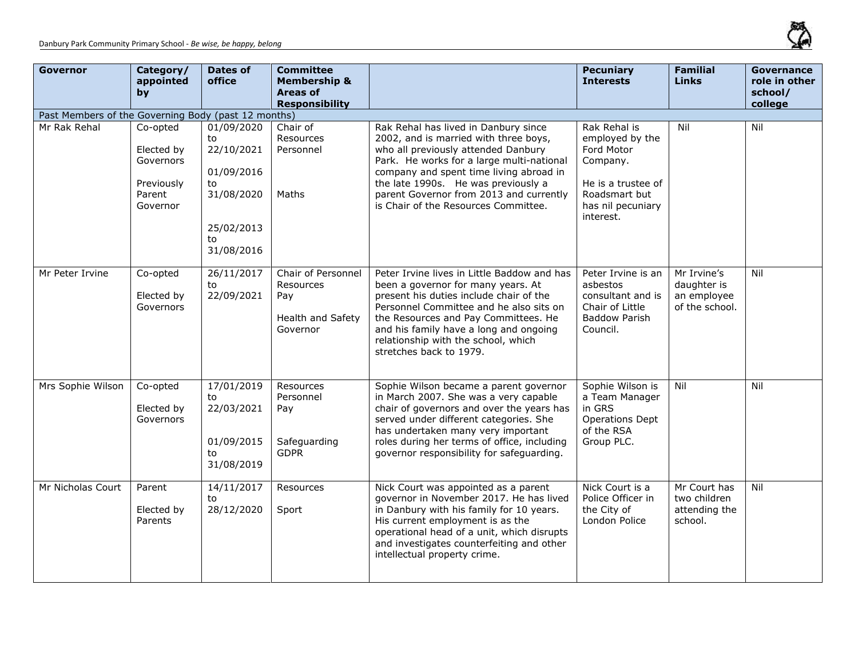

| <b>Governor</b>   | Category/<br>appointed<br>by                                            | <b>Dates of</b><br>office                                                                          | <b>Committee</b><br><b>Membership &amp;</b><br><b>Areas of</b><br><b>Responsibility</b> |                                                                                                                                                                                                                                                                                                                                        | <b>Pecuniary</b><br><b>Interests</b>                                                                                               | <b>Familial</b><br><b>Links</b>                             | <b>Governance</b><br>role in other<br>school/<br>college |  |  |  |
|-------------------|-------------------------------------------------------------------------|----------------------------------------------------------------------------------------------------|-----------------------------------------------------------------------------------------|----------------------------------------------------------------------------------------------------------------------------------------------------------------------------------------------------------------------------------------------------------------------------------------------------------------------------------------|------------------------------------------------------------------------------------------------------------------------------------|-------------------------------------------------------------|----------------------------------------------------------|--|--|--|
|                   | Past Members of the Governing Body (past 12 months)                     |                                                                                                    |                                                                                         |                                                                                                                                                                                                                                                                                                                                        |                                                                                                                                    |                                                             |                                                          |  |  |  |
| Mr Rak Rehal      | Co-opted<br>Elected by<br>Governors<br>Previously<br>Parent<br>Governor | 01/09/2020<br>to<br>22/10/2021<br>01/09/2016<br>to<br>31/08/2020<br>25/02/2013<br>to<br>31/08/2016 | Chair of<br>Resources<br>Personnel<br>Maths                                             | Rak Rehal has lived in Danbury since<br>2002, and is married with three boys,<br>who all previously attended Danbury<br>Park. He works for a large multi-national<br>company and spent time living abroad in<br>the late 1990s. He was previously a<br>parent Governor from 2013 and currently<br>is Chair of the Resources Committee. | Rak Rehal is<br>employed by the<br>Ford Motor<br>Company.<br>He is a trustee of<br>Roadsmart but<br>has nil pecuniary<br>interest. | Nil                                                         | Nil                                                      |  |  |  |
| Mr Peter Irvine   | Co-opted<br>Elected by<br>Governors                                     | 26/11/2017<br>to<br>22/09/2021                                                                     | Chair of Personnel<br>Resources<br>Pay<br>Health and Safety<br>Governor                 | Peter Irvine lives in Little Baddow and has<br>been a governor for many years. At<br>present his duties include chair of the<br>Personnel Committee and he also sits on<br>the Resources and Pay Committees. He<br>and his family have a long and ongoing<br>relationship with the school, which<br>stretches back to 1979.            | Peter Irvine is an<br>asbestos<br>consultant and is<br>Chair of Little<br><b>Baddow Parish</b><br>Council.                         | Mr Irvine's<br>daughter is<br>an employee<br>of the school. | Nil                                                      |  |  |  |
| Mrs Sophie Wilson | Co-opted<br>Elected by<br>Governors                                     | 17/01/2019<br>to<br>22/03/2021<br>01/09/2015<br>to<br>31/08/2019                                   | Resources<br>Personnel<br>Pay<br>Safeguarding<br><b>GDPR</b>                            | Sophie Wilson became a parent governor<br>in March 2007. She was a very capable<br>chair of governors and over the years has<br>served under different categories. She<br>has undertaken many very important<br>roles during her terms of office, including<br>governor responsibility for safeguarding.                               | Sophie Wilson is<br>a Team Manager<br>in GRS<br><b>Operations Dept</b><br>of the RSA<br>Group PLC.                                 | Nil                                                         | Nil                                                      |  |  |  |
| Mr Nicholas Court | Parent<br>Elected by<br>Parents                                         | 14/11/2017<br>to<br>28/12/2020                                                                     | Resources<br>Sport                                                                      | Nick Court was appointed as a parent<br>governor in November 2017. He has lived<br>in Danbury with his family for 10 years.<br>His current employment is as the<br>operational head of a unit, which disrupts<br>and investigates counterfeiting and other<br>intellectual property crime.                                             | Nick Court is a<br>Police Officer in<br>the City of<br>London Police                                                               | Mr Court has<br>two children<br>attending the<br>school.    | Nil                                                      |  |  |  |